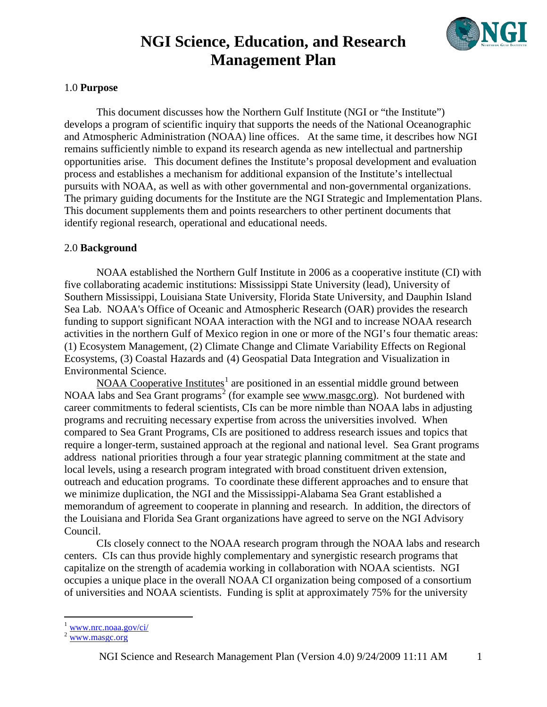

#### 1.0 **Purpose**

This document discusses how the Northern Gulf Institute (NGI or "the Institute") develops a program of scientific inquiry that supports the needs of the National Oceanographic and Atmospheric Administration (NOAA) line offices. At the same time, it describes how NGI remains sufficiently nimble to expand its research agenda as new intellectual and partnership opportunities arise. This document defines the Institute's proposal development and evaluation process and establishes a mechanism for additional expansion of the Institute's intellectual pursuits with NOAA, as well as with other governmental and non-governmental organizations. The primary guiding documents for the Institute are the NGI Strategic and Implementation Plans. This document supplements them and points researchers to other pertinent documents that identify regional research, operational and educational needs.

#### 2.0 **Background**

NOAA established the Northern Gulf Institute in 2006 as a cooperative institute (CI) with five collaborating academic institutions: Mississippi State University (lead), University of Southern Mississippi, Louisiana State University, Florida State University, and Dauphin Island Sea Lab. [NOAA's Office of Oceanic and Atmospheric Research](http://www.oar.noaa.gov/) (OAR) provides the research funding to support significant NOAA interaction with the NGI and to increase NOAA research activities in the northern Gulf of Mexico region in one or more of the NGI's four thematic areas: (1) Ecosystem Management, (2) Climate Change and Climate Variability Effects on Regional Ecosystems, (3) Coastal Hazards and (4) Geospatial Data Integration and Visualization in Environmental Science.

[NOAA Cooperative Institutes](http://www.nrc.noaa.gov/ci/)<sup>[1](#page-0-0)</sup> are positioned in an essential middle ground between NOAA labs and Sea Grant programs<sup>[2](#page-0-1)</sup> (for example see [www.masgc.org\)](http://www.masgc.org/). Not burdened with career commitments to federal scientists, CIs can be more nimble than NOAA labs in adjusting programs and recruiting necessary expertise from across the universities involved. When compared to Sea Grant Programs, CIs are positioned to address research issues and topics that require a longer-term, sustained approach at the regional and national level. Sea Grant programs address national priorities through a four year strategic planning commitment at the state and local levels, using a research program integrated with broad constituent driven extension, outreach and education programs. To coordinate these different approaches and to ensure that we minimize duplication, the NGI and the Mississippi-Alabama Sea Grant established a memorandum of agreement to cooperate in planning and research. In addition, the directors of the Louisiana and Florida Sea Grant organizations have agreed to serve on the NGI Advisory Council.

CIs closely connect to the NOAA research program through the NOAA labs and research centers. CIs can thus provide highly complementary and synergistic research programs that capitalize on the strength of academia working in collaboration with NOAA scientists. NGI occupies a unique place in the overall NOAA CI organization being composed of a consortium of universities and NOAA scientists. Funding is split at approximately 75% for the university

<span id="page-0-0"></span>[www.nrc.noaa.gov/ci/](http://www.nrc.noaa.gov/ci/)

<span id="page-0-1"></span>[www.masgc.org](http://www.masgc.org/)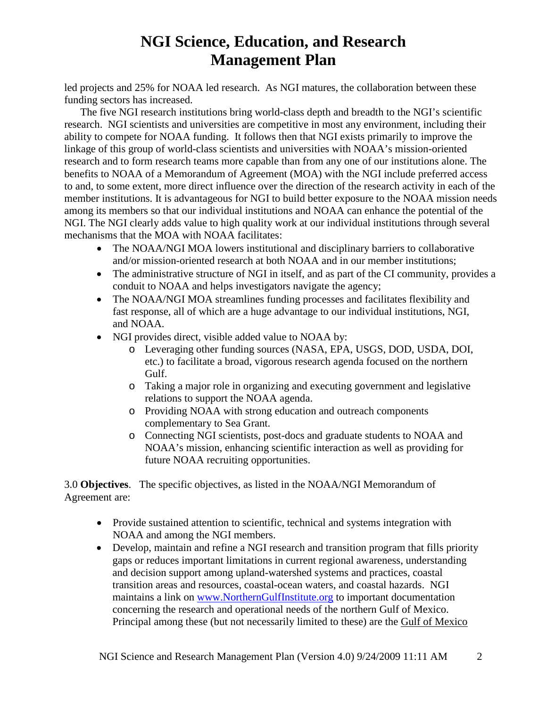led projects and 25% for NOAA led research. As NGI matures, the collaboration between these funding sectors has increased.

The five NGI research institutions bring world-class depth and breadth to the NGI's scientific research. NGI scientists and universities are competitive in most any environment, including their ability to compete for NOAA funding. It follows then that NGI exists primarily to improve the linkage of this group of world-class scientists and universities with NOAA's mission-oriented research and to form research teams more capable than from any one of our institutions alone. The benefits to NOAA of a Memorandum of Agreement (MOA) with the NGI include preferred access to and, to some extent, more direct influence over the direction of the research activity in each of the member institutions. It is advantageous for NGI to build better exposure to the NOAA mission needs among its members so that our individual institutions and NOAA can enhance the potential of the NGI. The NGI clearly adds value to high quality work at our individual institutions through several mechanisms that the MOA with NOAA facilitates:

- The NOAA/NGI MOA lowers institutional and disciplinary barriers to collaborative and/or mission-oriented research at both NOAA and in our member institutions;
- The administrative structure of NGI in itself, and as part of the CI community, provides a conduit to NOAA and helps investigators navigate the agency;
- The NOAA/NGI MOA streamlines funding processes and facilitates flexibility and fast response, all of which are a huge advantage to our individual institutions, NGI, and NOAA.
- NGI provides direct, visible added value to NOAA by:
	- o Leveraging other funding sources (NASA, EPA, USGS, DOD, USDA, DOI, etc.) to facilitate a broad, vigorous research agenda focused on the northern Gulf.
	- o Taking a major role in organizing and executing government and legislative relations to support the NOAA agenda.
	- o Providing NOAA with strong education and outreach components complementary to Sea Grant.
	- o Connecting NGI scientists, post-docs and graduate students to NOAA and NOAA's mission, enhancing scientific interaction as well as providing for future NOAA recruiting opportunities.

3.0 **Objectives**. The specific objectives, as listed in the NOAA/NGI Memorandum of Agreement are:

- Provide sustained attention to scientific, technical and systems integration with NOAA and among the NGI members.
- Develop, maintain and refine a NGI research and transition program that fills priority gaps or reduces important limitations in current regional awareness, understanding and decision support among upland-watershed systems and practices, coastal transition areas and resources, coastal-ocean waters, and coastal hazards. NGI maintains a link on [www.NorthernGulfInstitute.org](http://www.northerngulfinstitute.org/) to important documentation concerning the research and operational needs of the northern Gulf of Mexico. Principal among these (but not necessarily limited to these) are the Gulf of [Mexico](http://www2.nos.noaa.gov/gomex/past_events/welcome.html)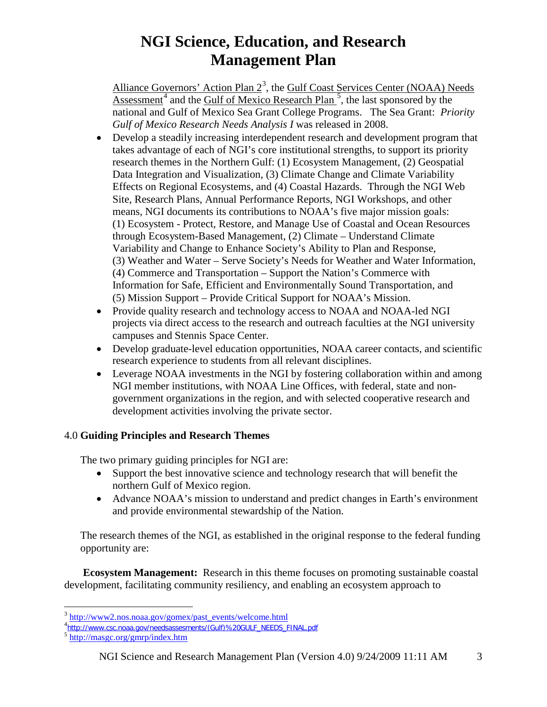Alliance Governors' Action Plan  $2<sup>3</sup>$  $2<sup>3</sup>$  $2<sup>3</sup>$ , the Gulf Coast Services Center (NOAA) Needs  $\Delta$ ssessment<sup>[4](#page-2-1)</sup> and the Gulf of Mexico Research Plan<sup>[5](#page-2-2)</sup>, the last sponsored by the national and Gulf of Mexico Sea Grant College Programs. The Sea Grant: *Priority Gulf of Mexico Research Needs Analysis I* was released in 2008.

- Develop a steadily increasing interdependent research and development program that takes advantage of each of NGI's core institutional strengths, to support its priority research themes in the Northern Gulf: (1) Ecosystem Management, (2) Geospatial Data Integration and Visualization, (3) Climate Change and Climate Variability Effects on Regional Ecosystems, and (4) Coastal Hazards. Through the NGI Web Site, Research Plans, Annual Performance Reports, NGI Workshops, and other means, NGI documents its contributions to NOAA's five major mission goals: (1) Ecosystem - Protect, Restore, and Manage Use of Coastal and Ocean Resources through Ecosystem-Based Management, (2) Climate – Understand Climate Variability and Change to Enhance Society's Ability to Plan and Response, (3) Weather and Water – Serve Society's Needs for Weather and Water Information, (4) Commerce and Transportation – Support the Nation's Commerce with Information for Safe, Efficient and Environmentally Sound Transportation, and (5) Mission Support – Provide Critical Support for NOAA's Mission.
- Provide quality research and technology access to NOAA and NOAA-led NGI projects via direct access to the research and outreach faculties at the NGI university campuses and Stennis Space Center.
- Develop graduate-level education opportunities, NOAA career contacts, and scientific research experience to students from all relevant disciplines.
- Leverage NOAA investments in the NGI by fostering collaboration within and among NGI member institutions, with NOAA Line Offices, with federal, state and nongovernment organizations in the region, and with selected cooperative research and development activities involving the private sector.

### 4.0 **Guiding Principles and Research Themes**

The two primary guiding principles for NGI are:

- Support the best innovative science and technology research that will benefit the northern Gulf of Mexico region.
- Advance NOAA's mission to understand and predict changes in Earth's environment and provide environmental stewardship of the Nation.

The research themes of the NGI, as established in the original response to the federal funding opportunity are:

**Ecosystem Management:** Research in this theme focuses on promoting sustainable coastal development, facilitating community resiliency, and enabling an ecosystem approach to

<span id="page-2-0"></span><sup>&</sup>lt;sup>3</sup> [http://www2.nos.noaa.gov/gomex/past\\_events/welcome.html](http://www2.nos.noaa.gov/gomex/past_events/welcome.html)

<span id="page-2-1"></span><sup>4&</sup>lt;br>[http://www.csc.noaa.gov/needsassesments/\(Gulf\)%20GULF\\_NEEDS\\_FINAL.pdf](http://www.csc.noaa.gov/needsassesments/(Gulf)%20GULF_NEEDS_FINAL.pdf)

<span id="page-2-2"></span><sup>5</sup> <http://masgc.org/gmrp/index.htm>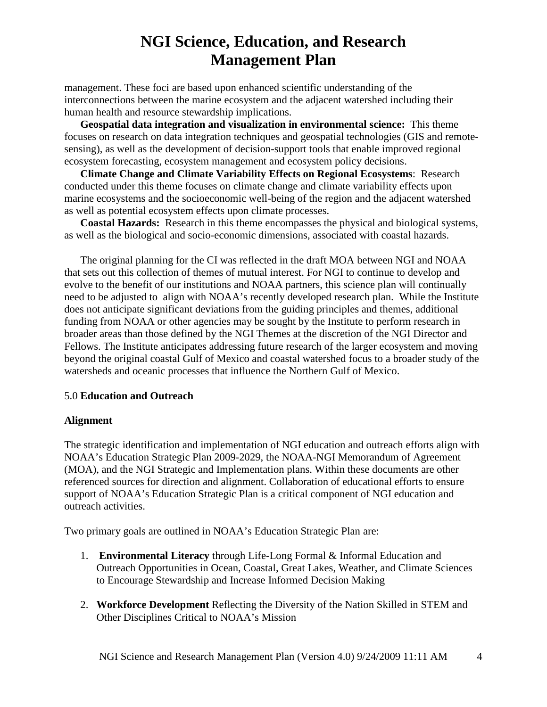management. These foci are based upon enhanced scientific understanding of the interconnections between the marine ecosystem and the adjacent watershed including their human health and resource stewardship implications.

**Geospatial data integration and visualization in environmental science:** This theme focuses on research on data integration techniques and geospatial technologies (GIS and remotesensing), as well as the development of decision-support tools that enable improved regional ecosystem forecasting, ecosystem management and ecosystem policy decisions.

**Climate Change and Climate Variability Effects on Regional Ecosystems**: Research conducted under this theme focuses on climate change and climate variability effects upon marine ecosystems and the socioeconomic well-being of the region and the adjacent watershed as well as potential ecosystem effects upon climate processes.

**Coastal Hazards:** Research in this theme encompasses the physical and biological systems, as well as the biological and socio-economic dimensions, associated with coastal hazards.

The original planning for the CI was reflected in the draft MOA between NGI and NOAA that sets out this collection of themes of mutual interest. For NGI to continue to develop and evolve to the benefit of our institutions and NOAA partners, this science plan will continually need to be adjusted to align with NOAA's recently developed research plan. While the Institute does not anticipate significant deviations from the guiding principles and themes, additional funding from NOAA or other agencies may be sought by the Institute to perform research in broader areas than those defined by the NGI Themes at the discretion of the NGI Director and Fellows. The Institute anticipates addressing future research of the larger ecosystem and moving beyond the original coastal Gulf of Mexico and coastal watershed focus to a broader study of the watersheds and oceanic processes that influence the Northern Gulf of Mexico.

### 5.0 **Education and Outreach**

### **Alignment**

The strategic identification and implementation of NGI education and outreach efforts align with NOAA's Education Strategic Plan 2009-2029, the NOAA-NGI Memorandum of Agreement (MOA), and the NGI Strategic and Implementation plans. Within these documents are other referenced sources for direction and alignment. Collaboration of educational efforts to ensure support of NOAA's Education Strategic Plan is a critical component of NGI education and outreach activities.

Two primary goals are outlined in NOAA's Education Strategic Plan are:

- 1. **Environmental Literacy** through Life-Long Formal & Informal Education and Outreach Opportunities in Ocean, Coastal, Great Lakes, Weather, and Climate Sciences to Encourage Stewardship and Increase Informed Decision Making
- 2. **Workforce Development** Reflecting the Diversity of the Nation Skilled in STEM and Other Disciplines Critical to NOAA's Mission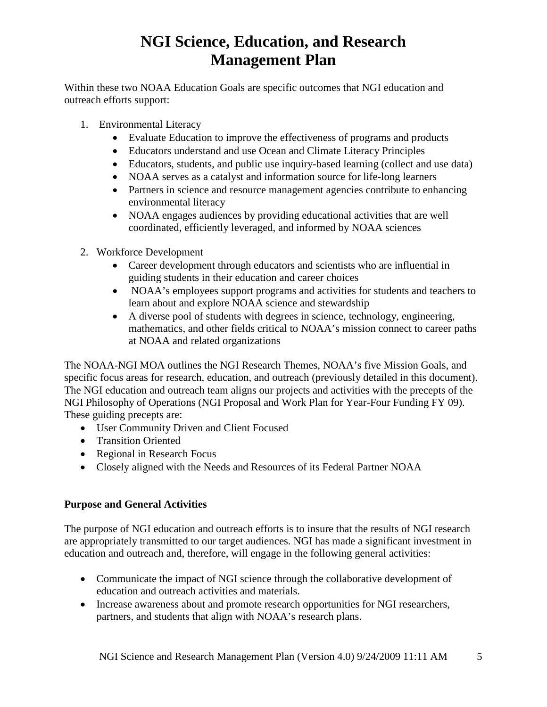Within these two NOAA Education Goals are specific outcomes that NGI education and outreach efforts support:

- 1. Environmental Literacy
	- Evaluate Education to improve the effectiveness of programs and products
	- Educators understand and use Ocean and Climate Literacy Principles
	- Educators, students, and public use inquiry-based learning (collect and use data)
	- NOAA serves as a catalyst and information source for life-long learners
	- Partners in science and resource management agencies contribute to enhancing environmental literacy
	- NOAA engages audiences by providing educational activities that are well coordinated, efficiently leveraged, and informed by NOAA sciences
- 2. Workforce Development
	- Career development through educators and scientists who are influential in guiding students in their education and career choices
	- NOAA's employees support programs and activities for students and teachers to learn about and explore NOAA science and stewardship
	- A diverse pool of students with degrees in science, technology, engineering, mathematics, and other fields critical to NOAA's mission connect to career paths at NOAA and related organizations

The NOAA-NGI MOA outlines the NGI Research Themes, NOAA's five Mission Goals, and specific focus areas for research, education, and outreach (previously detailed in this document). The NGI education and outreach team aligns our projects and activities with the precepts of the NGI Philosophy of Operations (NGI Proposal and Work Plan for Year-Four Funding FY 09). These guiding precepts are:

- User Community Driven and Client Focused
- Transition Oriented
- Regional in Research Focus
- Closely aligned with the Needs and Resources of its Federal Partner NOAA

### **Purpose and General Activities**

The purpose of NGI education and outreach efforts is to insure that the results of NGI research are appropriately transmitted to our target audiences. NGI has made a significant investment in education and outreach and, therefore, will engage in the following general activities:

- Communicate the impact of NGI science through the collaborative development of education and outreach activities and materials.
- Increase awareness about and promote research opportunities for NGI researchers, partners, and students that align with NOAA's research plans.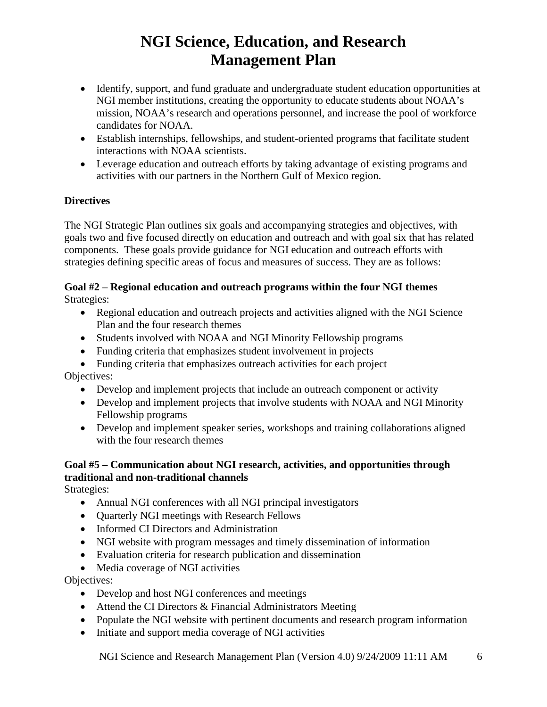- Identify, support, and fund graduate and undergraduate student education opportunities at NGI member institutions, creating the opportunity to educate students about NOAA's mission, NOAA's research and operations personnel, and increase the pool of workforce candidates for NOAA.
- Establish internships, fellowships, and student-oriented programs that facilitate student interactions with NOAA scientists.
- Leverage education and outreach efforts by taking advantage of existing programs and activities with our partners in the Northern Gulf of Mexico region.

### **Directives**

The NGI Strategic Plan outlines six goals and accompanying strategies and objectives, with goals two and five focused directly on education and outreach and with goal six that has related components. These goals provide guidance for NGI education and outreach efforts with strategies defining specific areas of focus and measures of success. They are as follows:

### **Goal #2** – **Regional education and outreach programs within the four NGI themes** Strategies:

- Regional education and outreach projects and activities aligned with the NGI Science Plan and the four research themes
- Students involved with NOAA and NGI Minority Fellowship programs
- Funding criteria that emphasizes student involvement in projects
- Funding criteria that emphasizes outreach activities for each project Objectives:
	- Develop and implement projects that include an outreach component or activity
	- Develop and implement projects that involve students with NOAA and NGI Minority Fellowship programs
	- Develop and implement speaker series, workshops and training collaborations aligned with the four research themes

### **Goal #5 – Communication about NGI research, activities, and opportunities through traditional and non-traditional channels**

Strategies:

- Annual NGI conferences with all NGI principal investigators
- Quarterly NGI meetings with Research Fellows
- Informed CI Directors and Administration
- NGI website with program messages and timely dissemination of information
- Evaluation criteria for research publication and dissemination
- Media coverage of NGI activities

Objectives:

- Develop and host NGI conferences and meetings
- Attend the CI Directors & Financial Administrators Meeting
- Populate the NGI website with pertinent documents and research program information
- Initiate and support media coverage of NGI activities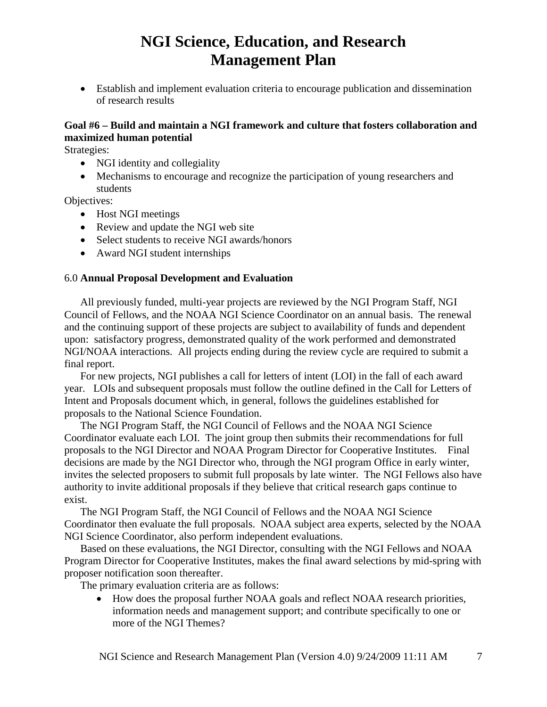• Establish and implement evaluation criteria to encourage publication and dissemination of research results

### **Goal #6 – Build and maintain a NGI framework and culture that fosters collaboration and maximized human potential**

Strategies:

- NGI identity and collegiality
- Mechanisms to encourage and recognize the participation of young researchers and students

Objectives:

- Host NGI meetings
- Review and update the NGI web site
- Select students to receive NGI awards/honors
- Award NGI student internships

#### 6.0 **Annual Proposal Development and Evaluation**

All previously funded, multi-year projects are reviewed by the NGI Program Staff, NGI Council of Fellows, and the NOAA NGI Science Coordinator on an annual basis. The renewal and the continuing support of these projects are subject to availability of funds and dependent upon: satisfactory progress, demonstrated quality of the work performed and demonstrated NGI/NOAA interactions. All projects ending during the review cycle are required to submit a final report.

For new projects, NGI publishes a call for letters of intent (LOI) in the fall of each award year. LOIs and subsequent proposals must follow the outline defined in the Call for Letters of Intent and Proposals document which, in general, follows the guidelines established for proposals to the National Science Foundation.

The NGI Program Staff, the NGI Council of Fellows and the NOAA NGI Science Coordinator evaluate each LOI. The joint group then submits their recommendations for full proposals to the NGI Director and NOAA Program Director for Cooperative Institutes. Final decisions are made by the NGI Director who, through the NGI program Office in early winter, invites the selected proposers to submit full proposals by late winter. The NGI Fellows also have authority to invite additional proposals if they believe that critical research gaps continue to exist.

The NGI Program Staff, the NGI Council of Fellows and the NOAA NGI Science Coordinator then evaluate the full proposals. NOAA subject area experts, selected by the NOAA NGI Science Coordinator, also perform independent evaluations.

Based on these evaluations, the NGI Director, consulting with the NGI Fellows and NOAA Program Director for Cooperative Institutes, makes the final award selections by mid-spring with proposer notification soon thereafter.

The primary evaluation criteria are as follows:

• How does the proposal further NOAA goals and reflect NOAA research priorities, information needs and management support; and contribute specifically to one or more of the NGI Themes?